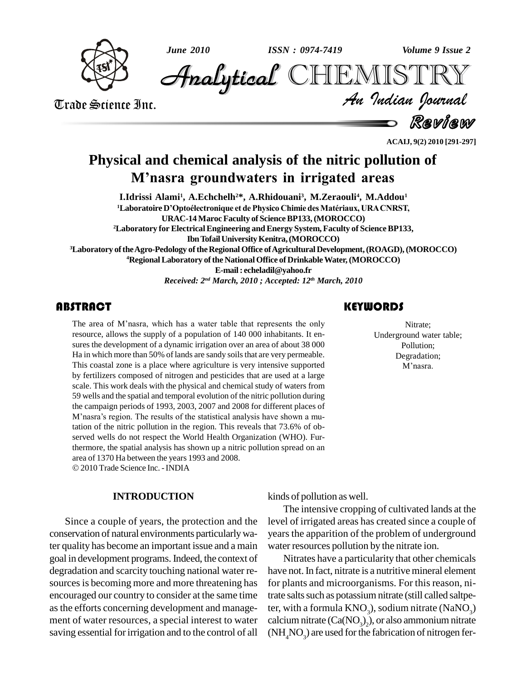



*Sune 2010*<br> *Analytical* CHEMISTRY<br> *Trade* Science Inc.<br> *Analytical* CHEMISTRY<br> *An Analytical An Andian Journal*<br> *Review* **Analytical CHEMISTRY** 

An Indian Journal<br>Review

**ACAIJ, 9(2) 2010 [291-297]**

# **Physical and chemical analysis of the nitric pollution of <sup>M</sup>ínasra groundwaters in irrigated areas**

**I.Idrissi Alami<sup>1</sup> , A.Echchelh <sup>2</sup>\*, A.Rhidouani<sup>3</sup> , M.Zeraouli<sup>4</sup> , M.Addou 1 <sup>1</sup>Laboratoire <sup>D</sup>íOptoÈlectronique et de Physico Chimie desMatÈriaux, URACNRST, URAC-14 Maroc Faculty of ScienceBP133,(MOROCCO) <sup>2</sup>Laboratory for ElectricalEngineering and Energy System, Faculty of ScienceBP133, IbnTofailUniversityKenitra,(MOROCCO) <sup>3</sup>Laboratory oftheAgro-Pedology oftheRegional Office ofAgriculturalDevelopment,(ROAGD),(MOROCCO) <sup>4</sup>RegionalLaboratory ofthe National Office of DrinkableWater,(MOROCCO) E-mail: [echeladil@yahoo.fr](mailto:echeladil@yahoo.fr)** *Received: 2 nd March, 2010 ; Accepted: 12 th March, 2010*

The area of M'nasra, w<br>resource, allows the supp<br>sures the development of **ABSTRACT**<br>The area of M'nasra, which has a water table that represents the only resource, allows the supply of a population of 140 000 inhabitants. It en sures the development of a dynamic irrigation over an area of about 38 000 Ha in which more than 50% of lands are sandy soils that are very permeable. This coastal zone is a place where agriculture is very intensive supported by fertilizers composed of nitrogen and pesticides that are used at a large scale. This work deals with the physical and chemical study of waters from 59 wells and the spatial and temporal evolution of the nitric pollution during the campaign periods of 1993, 2003, 2007 and 2008 for different places of 59 wells and the spatial and temporal evolution of the nitric pollution during<br>the campaign periods of 1993, 2003, 2007 and 2008 for different places of<br>M'nasra's region. The results of the statistical analysis have shown tation of the nitric pollution in the region. This reveals that 73.6% of ob served wells do not respect the World Health Organization (WHO). Furthermore, the spatial analysis has shown up a nitric pollution spread on an area of <sup>1370</sup> Ha between the years <sup>1993</sup> and 2008. 2010Trade Science Inc. -INDIA

#### **INTRODUCTION**

Since a couple of years, the protection and the conservation of natural environments particularlywater quality has become an important issue and a main goal in development programs. Indeed, the context of degradation and scarcity touching national water re sources is becoming more and more threatening has encouraged our country to consider at the same time asthe efforts concerning development and manage ment of water resources, a special interest to water saving essential for irrigation and to the control of all

Nitrate;<br>Underground water<br>Pollution; Nitrate; Underground water table; Pollution; Degradation; Pollution;<br>egradation;<br>M'nasra.

kinds of pollution as well.

The intensive cropping of cultivated lands at the level of irrigated areas has created since a couple of years the apparition of the problem of underground water resources pollution by the nitrate ion.

Nitrates have a particularity that other chemicals have not. In fact, nitrate is a nutritive mineral element for plants and microorganisms. For this reason, nitrate salts such as potassium nitrate (still called saltpeter, with a formula  $KNO<sub>3</sub>$ ), sodium nitrate (NaNO<sub>3</sub>) calcium nitrate  $(Ca(NO<sub>3</sub>)<sub>2</sub>)$ , or also ammonium nitrate  $(NH<sub>4</sub>NO<sub>3</sub>)$  are used for the fabrication of nitrogen fer-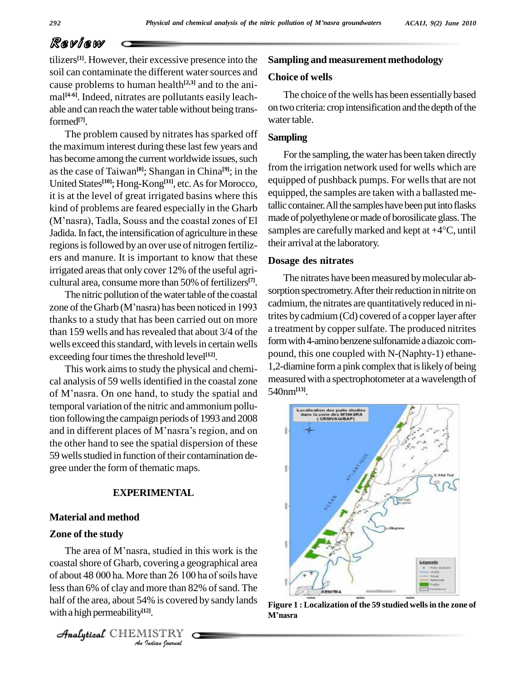## Review

tilizers<sup>[1]</sup>. However, their excessive presence into the **Samp** soil can contaminate the different water sources and cause problems to human health **[2,3]** and to the ani mal **[4-6]**. Indeed, nitrates are pollutants easily leach able and can reach the water table without being transformed **[7]**.

The problem caused by nitrates has sparked off the maximum interest during these last few years and has become among the current worldwide issues, such as the case of Taiwan **[8]**; Shangan in China **[9]**; in the United States<sup>[10]</sup>; Hong-Kong<sup>[11]</sup>, etc. As for Morocco, eq it is at the level of great irrigated basins where this kind of problems are feared especially in the Gharb tallic co it is at the level of great irrigated basins where this<br>kind of problems are feared especially in the Gharb<br>(M'nasra), Tadla, Souss and the coastal zones of El Jadida. In fact, the intensification of agriculture in these samples are carefully marked and kept at  $+4^{\circ}C$ , until regions is followed by an over use of nitrogen fertilizers and manure. It is important to know that these irrigated areas that only cover 12% of the useful agri-

cultural area, consume more than 50% of fertilizers<sup>[7]</sup>. The nitric pollution of the water table of the coastal sorptio zone of the Gharb (M'nasra) has been noticed in 1993 cadmit The nitric pollution of the water table of the coastal thanks to a study that has been carried out on more than 159 wells and has revealed that about 3/4 of the wells exceed this standard, with levels in certain wells exceeding four times the threshold level<sup>[12]</sup>.

This work aimsto study the physical and chemi cal analysis of 59 wells identified in the coastal zone measure This work aims to study the physical and chemi-<br>cal analysis of 59 wells identified in the coastal zone measur<br>of M'nasra. On one hand, to study the spatial and 540nm temporal variation of the nitric and ammonium pollution following the campaign periods of 1993 and 2008 and in different places of M'nasra's region, and on the other hand to see the spatial dispersion of these 59 wells studied in function of their contamination degree under the form of thematic maps.

#### **EXPERIMENTAL**

#### **Material and method**

#### **Zone of the study**

<sup>2</sup> about 48 000 ha. Mor *I*e than 26 100<br> *I*more than 82<br> *I*<sup>9</sup> *I*s covered<br> *II*<br> *IISTRY* The area of M'nasra, studied in this work is the coastal shore of Gharb, covering a geographical area The area of M'nasra, studied in this work is the coastal shore of Gharb, covering a geographical area of about 48 000 ha. More than 26 100 ha of soils have less than 6% of clay and more than 82% of sand. The half of the area, about 54% is covered by sandy lands  $_{\text{Fion}}$ with a high permeability **[12]**.

Analytical CHEMISTRY

#### **Sampling and measurement methodology**

#### **Choice of wells**

The choice of the wells has been essentially based on two criteria: crop intensification and the depth of the water table.

### **Sampling**

For the sampling, the water has been taken directly from the irrigation network used for wells which are equipped of pushback pumps. For wells that are not equipped, the samples are taken with a ballasted metallic container. All the samples have been put into flasks made of polyethylene or made of borosilicate glass. The tallic container. All the samples have been put into flasks<br>made of polyethylene or made of borosilicate glass. The<br>samples are carefully marked and kept at +4°C, until their arrival at the laboratory.

#### **Dosage des nitrates**

The nitrates have been measured by molecular absorption spectrometry. After their reduction in nitrite on cadmium, the nitrates are quantitativelyreduced in nitrites bycadmium(Cd) covered of a copperlayer after a treatment by copper sulfate. The produced nitrites form with 4-amino benzene sulfonamide a diazoic compound, this one coupled with N-(Naphty-1) ethane- 1,2-diamine form a pink complex that is likely of being measured with a spectrophotometer at a wavelength of 540nm**[13]**.



**Figure 1 : Localization of the 59 studied wellsin the zone of Mínasra**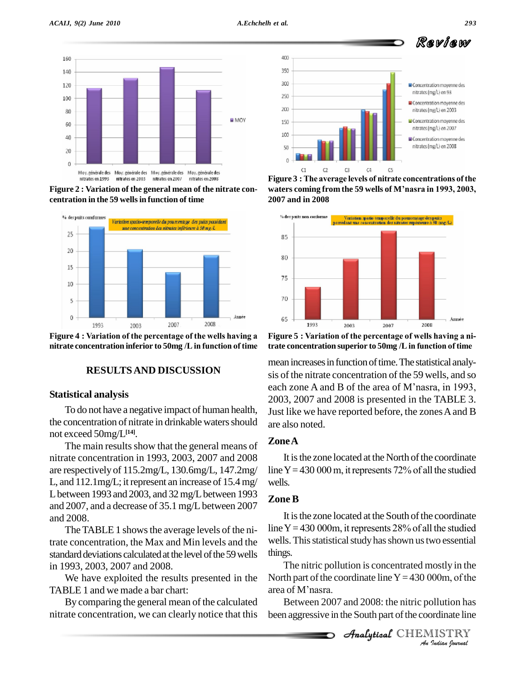

**Figure 2 : Variation of the general mean of the nitrate con centration in the 59 wellsin function of time**



**nitrate concentration inferior to 50mg /Lin function of time**

#### **RESULTSAND DISCUSSION**

#### **Statistical analysis**

To do not have a negative impact of human health, the concentration of nitrate in drinkable waters should not exceed 50mg/L **[14]**.

The main results show that the general means of nitrate concentration in 1993, 2003, 2007 and 2008 are respectively of 115.2mg/L, 130.6mg/L, 147.2mg/ L, and  $112.1 \text{mg/L}$ ; it represent an increase of  $15.4 \text{ mg/s}$ L between 1993 and 2003, and 32 mg/L between 1993 and 2007, and a decrease of 35.1 mg/L between 2007 and 2008.

The TABLE 1 shows the average levels of the nitrate concentration, the Max and Min levels and the standard deviations calculated at the level of the 59 wells in 1993, 2003, 2007 and 2008.

We have exploited the results presented in the TABLE 1 and we made a bar chart:

By comparing the general mean of the calculated nitrate concentration, we can clearly notice that this



**waters coming from the <sup>59</sup> wells of <sup>M</sup>ínasra in 1993, 2003, 2007 and in 2008**



**the Equilibration concentration concentration concentration superior to 50mg** /**L** in function of time

mean increases in function of time. The statistical analysis of the nitrate concentration of the 59 wells, and so each zone A and B of the area of M'nasra, in 1993, 2003, 2007 and 2008 is presented in the TABLE 3. Just like we have reported before, the zones A and B are also noted.

#### **ZoneA**

It is the zone located at the North of the coordinate line Y = 430 000 m, it represents 72% of all the studied wells.

#### **Zone B**

It is the zone located at the South of the coordinate line Y = 430 000m, it represents 28% of all the studied wells. This statistical study has shown us two essential things.

The nitric pollution is concentrated mostly in the *Indian*<br>*Indian Indian*<br>*I*<br>*ISTRY*<br>*Indian Iournal* things.<br>The nitric pollution is concentrated mostly in the<br>North part of the coordinate line  $Y = 430 000$ m, of the The nitric pollution<br>North part of the coor<br>area of M'nasra.

Between 2007 and 2008: the nitric pollution has been aggressive in the South part of the coordinate line

Analytical CHEMISTRY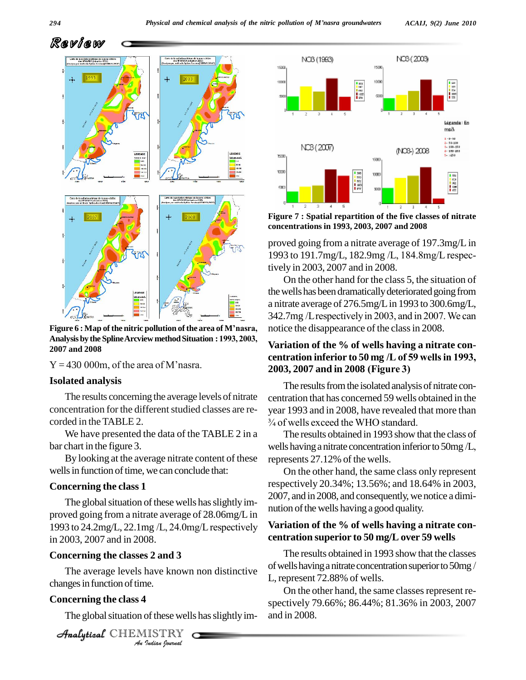

Analysis by the Spline Arcview method Situation : 1<br>2007 and 2008<br>Y = 430 000m, of the area of M'nasra. **Analysis by the SplineArcview methodSituation : 1993, 2003, 2007 and 2008**

#### **Isolated analysis**

The results concerning the average levels of nitrate concentration for the different studied classes are recorded in the TABLE 2.

We have presented the data of the TABLE 2 in a bar chart in the figure 3.

By looking at the average nitrate content of these wells in function of time, we can conclude that:

#### **Concerning the class 1**

The global situation of these wells has slightly im-<br>proved going from a nitrate average of 28.06mg/L in<br>1993 to 24.2mg/L, 22.1mg /L, 24.0mg/L respectively Variat proved going from a nitrate average of 28.06mg/L in in 2003, 2007 and in 2008.

#### **Concerning the classes 2 and 3**

The average levels have known non distinctive  $\frac{64}{L}$  rep *Inave known<br>I<br><i>I*<br>*ISTRY<br><i>Indian Iournal* changes in function of time.

#### **Concerning the class 4**

The global situation of these wells has slightly im-



**Figure 7 : Spatial repartition of the five classes of nitrate concentrations in 1993, 2003, 2007 and 2008**

proved going from a nitrate average of 197.3mg/L in <sup>1993</sup> to 191.7mg/L, 182.9mg /L, 184.8mg/L respectively in 2003, 2007 and in 2008.

On the other hand for the class 5, the situation of the wells has been dramatically deteriorated going from<br>a nitrate average of 276.5mg/L in 1993 to 300.6mg/L,<br>342.7mg /L respectively in 2003, and in 2007. We can a nitrate average of 276.5mg/Lin 1993 to 300.6mg/L, notice the disappearance of the classin 2008. **Figure 6 :** Map of the nitric pollution of the area of M'nasra, notice the disappearance of the class in 2003.

### **Variation of the % of wells having a nitrate con** notice the disappearance of the class in 2008.<br>**Variation of the % of wells having a nitrate con-<br>centration inferior to 50 mg /L of 59 wells in 1993, Variation of the % of wells having a niferior to 50 mg /L of 59 well<br>2003, 2007 and in 2008 (Figure 3)**

The results from the isolated analysis of nitrate concentration that has concerned 59 wells obtained in the year 1993 and in 2008, have revealed that more than ntration that has concerned 59 wells obtained ar 1993 and in 2008, have revealed that i<br>of wells exceed the WHO standard.

The results obtained in 1993 show that the class of  $\frac{3}{4}$  of wells exceed the WHO standard.<br>The results obtained in 1993 show that the class of wells having a nitrate concentration inferior to 50mg /L, represents 27.12% of the wells.

On the other hand, the same class only represent respectively 20.34%; 13.56%; and 18.64% in 2003, 2007, and in 2008, and consequently, we notice a diminution of the wells having a good quality.

#### **Variation of the % of wells having a nitrate con centration superior to 50 mg/L over 59 wells**

The results obtained in 1993 show that the classes of wells having a nitrate concentration superior to 50mg / L, represent 72.88% of wells.

On the other hand, the same classes represent respectively 79.66%; 86.44%; 81.36% in 2003, 2007 and in 2008.

**Analytical** CHEMISTRY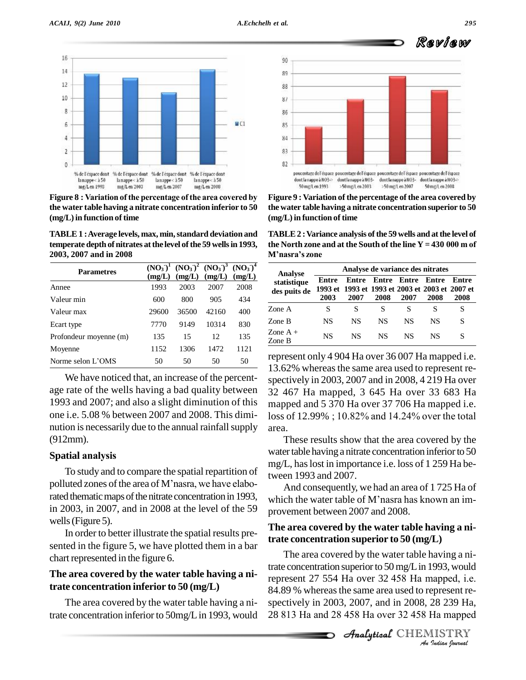

**the water table having a nitrate concentration inferior to 50 (mg/L)in function of time**

**TABLE1 :Average levels, max, min,standard deviation and 2003, 2007 and in 2008**

| <b>Parametres</b>      | (mg/L) | $(NO_3)^1 (NO_3)^2 (NO_3)^3 (NO_3)^4$<br>(mg/L) | (mg/L) | (mg/L) |
|------------------------|--------|-------------------------------------------------|--------|--------|
| Annee                  | 1993   | 2003                                            | 2007   | 2008   |
| Valeur min             | 600    | 800                                             | 905    | 434    |
| Valeur max             | 29600  | 36500                                           | 42160  | 400    |
| Ecart type             | 7770   | 9149                                            | 10314  | 830    |
| Profondeur moyenne (m) | 135    | 15                                              | 12     | 135    |
| Moyenne                | 1152   | 1306                                            | 1472   | 1121   |
| Norme selon L'OMS      | 50     | 50                                              | 50     | 50     |

We have noticed that, an increase of the percent age rate of the wells having a bad quality between 1993 and 2007; and also a slight diminution of this one i.e.5.08 % between 2007 and 2008. This dimi nution is necessarily due to the annual rainfall supply area.<br>
(912mm). The value of the annual rainfall supply area.<br> **Spatial analysis** (912mm).

To study and to compare the spatial repartition of **Spatial analysis**<br>To study and to compare the spatial repartition of<br>polluted zones of the area of M'nasra, we have elaborated thematic maps of the nitrate concentration in 1993, in 2003, in 2007, and in 2008 at the level of the 59 wells (Figure 5).

In order to better illustrate the spatial results pre sented in the figure 5, we have plotted them in a bar chart represented in the figure 6.

### **The area covered by the water table having a nitrate concentration inferior to 50 (mg/L)**

The area covered by the water table having a ni-

90 89 88  $\frac{8}{3}$ 86 85 84 83 82 poucentage de l'éspace poucentage de l'éspace poucentage de l'éspace poucentage de l'éspace dontlanappeäNO3- dontlanappeäNO3- dontlanappeäNO3- dontlanappeäNO3-> 50 ma/L en 1993 >50 mg/L en 2003 >50 mg/L en 2007 50 mg/L en 2008

**Figure** 9 **:** Variation of the percentage of the area covered by **the water table having a nitrate concentration superior to 50 (mg/L)in function of time**

**temperate depth of nitrates at the level of the 59 wells in 1993, the North zone and at the South of the line**  $Y = 430000$  **m of TABLE2 :Variance analysis ofthe 59 wells and atthe level of the North zone and at the South of the line <sup>Y</sup> <sup>=</sup> <sup>430</sup> <sup>000</sup> <sup>m</sup> of TABLE 2 : Variance ana<br>the North zone and at tl<br>M'nasra's zone** 

| <b>Analyse</b>              | Analyse de variance des nitrates                                                  |           |      |                     |               |               |  |
|-----------------------------|-----------------------------------------------------------------------------------|-----------|------|---------------------|---------------|---------------|--|
| statistique<br>des puits de | Entre<br>Entre<br>1993 et 1993 et 1993 et 2003 et 2003 et 2007 et<br>2003<br>2007 |           | 2008 | Entre Entre<br>2007 | Entre<br>2008 | Entre<br>2008 |  |
| Zone A                      | S                                                                                 | S         | S    | S                   |               |               |  |
| Zone B                      | NS                                                                                | <b>NS</b> | NS.  | NS                  | NS            |               |  |
| Zone $A +$<br>Zone B        | NS                                                                                | <b>NS</b> | NS.  | NS.                 | NS            |               |  |

represent only 4 904 Ha over 36 007 Ha mapped i.e. 13.62% whereas the same area used to represent respectively in 2003, 2007 and in 2008, 4 219 Ha over 32 467 Ha mapped, 3 645 Ha over 33 683 Ha mapped and 5 370 Ha over 37 706 Ha mapped i.e. loss of 12.99% ; 10.82% and 14.24% over the total

area.These results show that the area covered by the water table having a nitrate concentration inferior to 50 mg/L, haslost in importance i.e.loss of 1 259 Ha between 1993 and 2007.

And consequently, we had an area of 1 725 Ha of which the water table of M'nasra has known an improvement between 2007 and 2008.

#### **The area covered by the water table having a nitrate concentration superior to 50 (mg/L)**

trate concentration superior to 50 mg/L in 1993, would The area covered by the water table having a nitrate concentration superior to 50 mg/L in 1993, would represent 27 554 Ha over 32 458 Ha mapped, i.e. 84.89 % whereas the same area used to represent respectively in 2003, 20 trate concentration inferior to 50mg/L in 1993, would 28 813 Ha and 28 458 Ha over 32 458 Ha mapped The area covered by the water table having a ni-84.89 % whereas the same area used to represent re-<br>spectively in 2003, 2007, and in 2008, 28 239 Ha,<br>28 813 Ha and 28 458 Ha over 32 458 Ha mapped spectively in 2003, 2007, and in 2008, 28 239 Ha,

Review

Analytical CHEMISTRY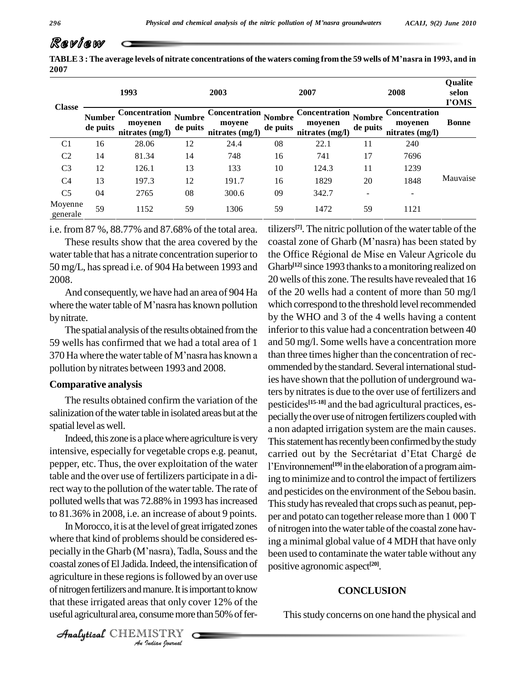## Review

TABLE 3: The average levels of nitrate concentrations of the waters coming from the 59 wells of M'nasra in 1993, and in **2007**

|                     |                           | 1993                                               |                           | 2003                                              |          | 2007                                               |                           | 2008                                               | Qualite<br>selon<br>I'OMS |
|---------------------|---------------------------|----------------------------------------------------|---------------------------|---------------------------------------------------|----------|----------------------------------------------------|---------------------------|----------------------------------------------------|---------------------------|
| <b>Classe</b>       | <b>Number</b><br>de puits | <b>Concentration</b><br>moyenen<br>nitrates (mg/l) | <b>Numbre</b><br>de puits | Concentration Nombre<br>moyene<br>nitrates (mg/l) | de puits | <b>Concentration</b><br>moyenen<br>nitrates (mg/l) | <b>Nombre</b><br>de puits | <b>Concentration</b><br>moyenen<br>nitrates (mg/l) | <b>Bonne</b>              |
| C <sub>1</sub>      | 16                        | 28.06                                              | 12                        | 24.4                                              | 08       | 22.1                                               | 11                        | 240                                                | Mauvaise                  |
| C <sub>2</sub>      | 14                        | 81.34                                              | 14                        | 748                                               | 16       | 741                                                | 17                        | 7696                                               |                           |
| C <sub>3</sub>      | 12                        | 126.1                                              | 13                        | 133                                               | 10       | 124.3                                              | 11                        | 1239                                               |                           |
| C4                  | 13                        | 197.3                                              | 12                        | 191.7                                             | 16       | 1829                                               | 20                        | 1848                                               |                           |
| C <sub>5</sub>      | 04                        | 2765                                               | 08                        | 300.6                                             | 09       | 342.7                                              |                           |                                                    |                           |
| Moyenne<br>generale | 59                        | 1152                                               | 59                        | 1306                                              | 59       | 1472                                               | 59                        | 1121                                               |                           |

i.e. from 87 %, 88.77% and 87.68% of the total area.

50 mg/L, hasspread i.e. of 904 Ha between 1993 and 2008.

And consequently, we have had an area of 904 Ha where the water table of M'nasra has known pollution by nitrate.

The spatial analysis of the results obtained from the 59 wells has confirmed that we had a total area of 1 370 Ha where the water table of M'nasra has known a pollution by nitrates between 1993 and 2008.

#### **Comparative analysis**

The results obtained confirm the variation of the salinization of the water table in isolated areas but at the spatial level as well.

Indeed, this zone is a place where agriculture is very intensive, especially for vegetable crops e.g. peanut, carried out by the Secrétariat d'Etat Chargé de pepper, etc. Thus, the over exploitation of the water table and the over use of fertilizers participate in a direct way to the pollution of the water table. The rate of polluted wells that was 72.88% in 1993 has increased to 81.36% in 2008, i.e. an increase of about 9 points.

Analytical agriculture in these regions is followed by an over use *Indian*<br>Ins is follower<br> **Insume more**<br> **ISTRY**<br> *I*<br> *ISTRY* In Morocco, it is at the level of great irrigated zones where that kind of problems should be considered es- $\frac{1}{2}$ ing In Morocco, it is at the level of great irrigated zones of nitr<br>where that kind of problems should be considered es-<br>pecially in the Gharb (M'nasra), Tadla, Souss and the been u coastal zones of El Jadida. Indeed, the intensification of of nitrogen fertilizers and manure. It is important to know that these irrigated areas that only cover 12% of the useful agricultural area, consume more than 50% of fer-

These results show that the area covered by the coastal zone of Gharb (M'nasra) has been stated by water table that has a nitrate concentration superior to the Office Régional de Mise en Valeur Agricole du tilizers<sup>[7]</sup>. The nitric pollution of the water table of the tilizers<sup>[7]</sup>. The nitric pollution of the water table of the coastal zone of Gharb (M'nasra) has been stated by tilizers<sup>[7]</sup>. The nitric pollution of the water table of the<br>coastal zone of Gharb (M'nasra) has been stated by<br>the Office Régional de Mise en Valeur Agricole du Gharb<sup>[12]</sup> since 1993 thanks to a monitoring realized on 20 wells of this zone. The results have revealed that 16 of the 20 wells had a content of more than 50 mg/l which correspond to the threshold level recommended by the WHO and 3 of the 4 wells having a content inferior to this value had a concentration between 40 and 50 mg/l. Some wells have a concentration more than three times higher than the concentration of rec ommended by the standard. Several international studies have shown that the pollution of underground waters by nitrates is due to the over use of fertilizers and pesticides **[15-18]** and the bad agricultural practices, es pecially the over use of nitrogen fertilizers coupled with a non adapted irrigation system are the main causes. This statement has recently been confirmed by the study a non adapted irrigation system are the main causes.<br>This statement has recently been confirmed by the study<br>carried out by the Secrétariat d'Etat Chargé de This statement has recently been confirmed by the study<br>carried out by the Secrétariat d'Etat Chargé de<br>l'Environnement<sup>[19]</sup> in the elaboration of a program aiming to minimize and to control the impact of fertilizers and pesticides on the environment of the Sebou basin. This study has revealed that crops such as peanut, pepper and potato can together release more than 1 000 T of nitrogen into the water table of the coastal zone having a minimal global value of 4 MDH that have only been used to contaminate the water table without any positive agronomic aspect **[20]**.

#### **CONCLUSION**

This study concerns on one hand the physical and

CHEMISTRY